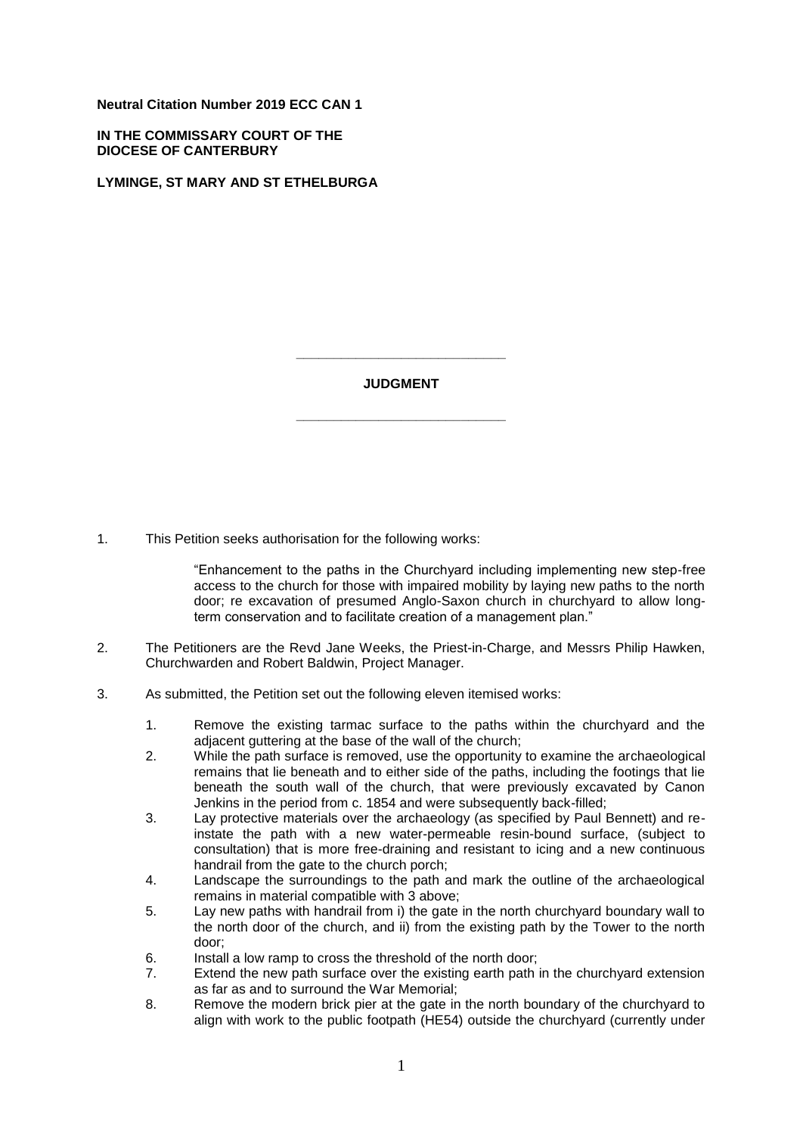**Neutral Citation Number 2019 ECC CAN 1**

**IN THE COMMISSARY COURT OF THE DIOCESE OF CANTERBURY**

**LYMINGE, ST MARY AND ST ETHELBURGA**

**JUDGMENT**

**\_\_\_\_\_\_\_\_\_\_\_\_\_\_\_\_\_\_\_\_\_\_\_\_\_\_\_\_**

**\_\_\_\_\_\_\_\_\_\_\_\_\_\_\_\_\_\_\_\_\_\_\_\_\_\_\_\_**

1. This Petition seeks authorisation for the following works:

"Enhancement to the paths in the Churchyard including implementing new step-free access to the church for those with impaired mobility by laying new paths to the north door; re excavation of presumed Anglo-Saxon church in churchyard to allow longterm conservation and to facilitate creation of a management plan."

- 2. The Petitioners are the Revd Jane Weeks, the Priest-in-Charge, and Messrs Philip Hawken, Churchwarden and Robert Baldwin, Project Manager.
- 3. As submitted, the Petition set out the following eleven itemised works:
	- 1. Remove the existing tarmac surface to the paths within the churchyard and the adjacent guttering at the base of the wall of the church;
	- 2. While the path surface is removed, use the opportunity to examine the archaeological remains that lie beneath and to either side of the paths, including the footings that lie beneath the south wall of the church, that were previously excavated by Canon Jenkins in the period from c. 1854 and were subsequently back-filled;
	- 3. Lay protective materials over the archaeology (as specified by Paul Bennett) and reinstate the path with a new water-permeable resin-bound surface, (subject to consultation) that is more free-draining and resistant to icing and a new continuous handrail from the gate to the church porch;
	- 4. Landscape the surroundings to the path and mark the outline of the archaeological remains in material compatible with 3 above;
	- 5. Lay new paths with handrail from i) the gate in the north churchyard boundary wall to the north door of the church, and ii) from the existing path by the Tower to the north door;
	- 6. Install a low ramp to cross the threshold of the north door;
	- 7. Extend the new path surface over the existing earth path in the churchyard extension as far as and to surround the War Memorial;
	- 8. Remove the modern brick pier at the gate in the north boundary of the churchyard to align with work to the public footpath (HE54) outside the churchyard (currently under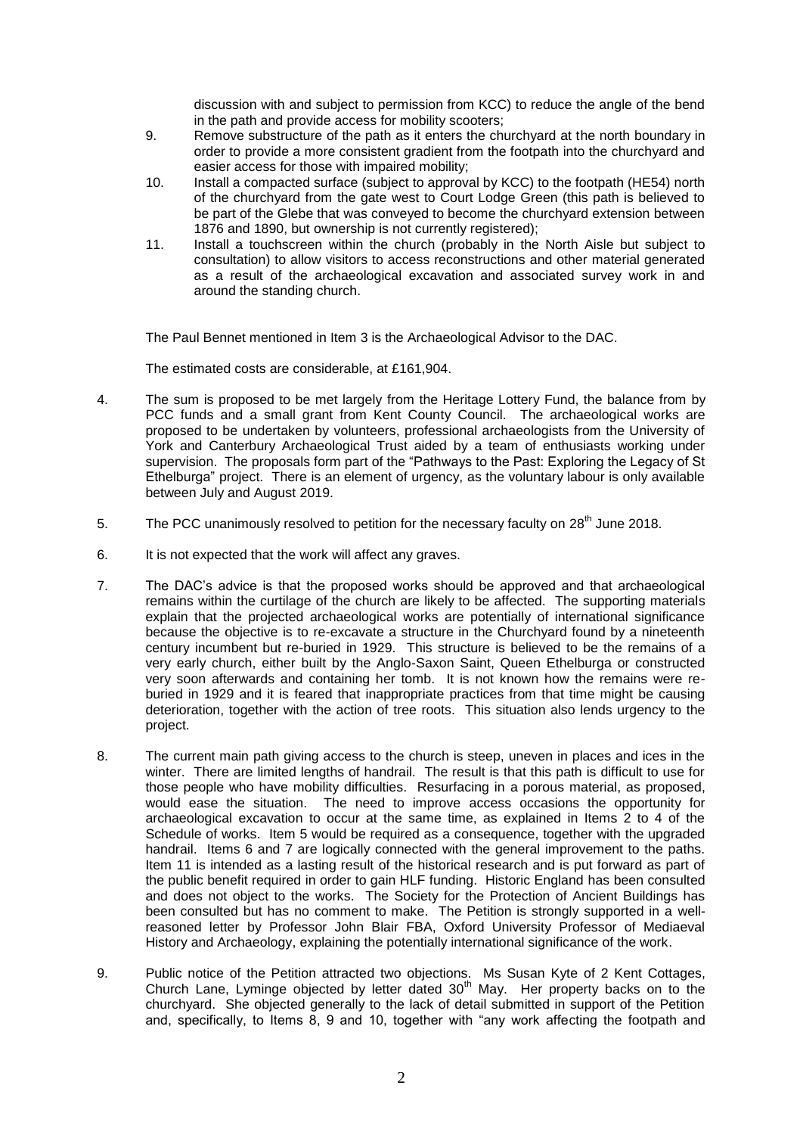discussion with and subject to permission from KCC) to reduce the angle of the bend in the path and provide access for mobility scooters;

- 9. Remove substructure of the path as it enters the churchyard at the north boundary in order to provide a more consistent gradient from the footpath into the churchyard and easier access for those with impaired mobility;
- 10. Install a compacted surface (subject to approval by KCC) to the footpath (HE54) north of the churchyard from the gate west to Court Lodge Green (this path is believed to be part of the Glebe that was conveyed to become the churchyard extension between 1876 and 1890, but ownership is not currently registered);
- 11. Install a touchscreen within the church (probably in the North Aisle but subject to consultation) to allow visitors to access reconstructions and other material generated as a result of the archaeological excavation and associated survey work in and around the standing church.

The Paul Bennet mentioned in Item 3 is the Archaeological Advisor to the DAC.

The estimated costs are considerable, at £161,904.

- 4. The sum is proposed to be met largely from the Heritage Lottery Fund, the balance from by PCC funds and a small grant from Kent County Council. The archaeological works are proposed to be undertaken by volunteers, professional archaeologists from the University of York and Canterbury Archaeological Trust aided by a team of enthusiasts working under supervision. The proposals form part of the "Pathways to the Past: Exploring the Legacy of St Ethelburga" project. There is an element of urgency, as the voluntary labour is only available between July and August 2019.
- 5. The PCC unanimously resolved to petition for the necessary faculty on 28<sup>th</sup> June 2018.
- 6. It is not expected that the work will affect any graves.
- 7. The DAC's advice is that the proposed works should be approved and that archaeological remains within the curtilage of the church are likely to be affected. The supporting materials explain that the projected archaeological works are potentially of international significance because the objective is to re-excavate a structure in the Churchyard found by a nineteenth century incumbent but re-buried in 1929. This structure is believed to be the remains of a very early church, either built by the Anglo-Saxon Saint, Queen Ethelburga or constructed very soon afterwards and containing her tomb. It is not known how the remains were reburied in 1929 and it is feared that inappropriate practices from that time might be causing deterioration, together with the action of tree roots. This situation also lends urgency to the project.
- 8. The current main path giving access to the church is steep, uneven in places and ices in the winter. There are limited lengths of handrail. The result is that this path is difficult to use for those people who have mobility difficulties. Resurfacing in a porous material, as proposed, would ease the situation. The need to improve access occasions the opportunity for archaeological excavation to occur at the same time, as explained in Items 2 to 4 of the Schedule of works. Item 5 would be required as a consequence, together with the upgraded handrail. Items 6 and 7 are logically connected with the general improvement to the paths. Item 11 is intended as a lasting result of the historical research and is put forward as part of the public benefit required in order to gain HLF funding. Historic England has been consulted and does not object to the works. The Society for the Protection of Ancient Buildings has been consulted but has no comment to make. The Petition is strongly supported in a wellreasoned letter by Professor John Blair FBA, Oxford University Professor of Mediaeval History and Archaeology, explaining the potentially international significance of the work.
- 9. Public notice of the Petition attracted two objections. Ms Susan Kyte of 2 Kent Cottages, Church Lane, Lyminge objected by letter dated 30<sup>th</sup> May. Her property backs on to the churchyard. She objected generally to the lack of detail submitted in support of the Petition and, specifically, to Items 8, 9 and 10, together with "any work affecting the footpath and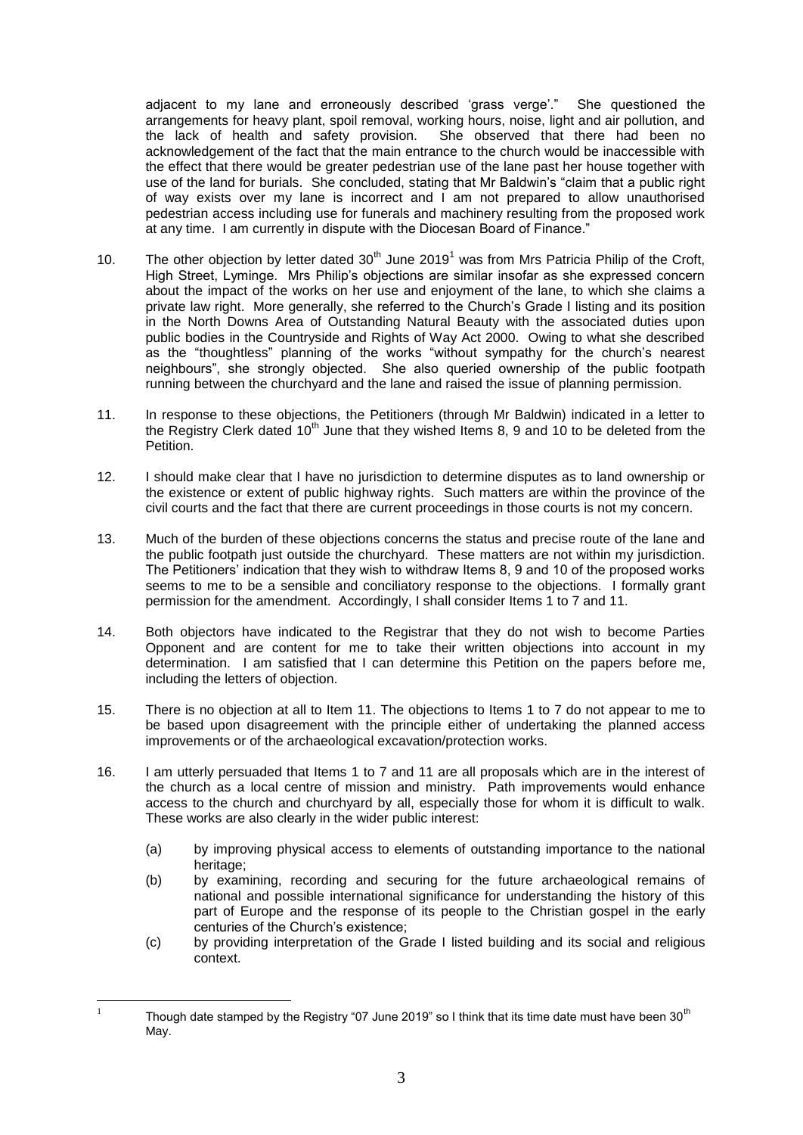adjacent to my lane and erroneously described 'grass verge'." She questioned the arrangements for heavy plant, spoil removal, working hours, noise, light and air pollution, and the lack of health and safety provision. She observed that there had been no acknowledgement of the fact that the main entrance to the church would be inaccessible with the effect that there would be greater pedestrian use of the lane past her house together with use of the land for burials. She concluded, stating that Mr Baldwin's "claim that a public right of way exists over my lane is incorrect and I am not prepared to allow unauthorised pedestrian access including use for funerals and machinery resulting from the proposed work at any time. I am currently in dispute with the Diocesan Board of Finance."

- 10. The other objection by letter dated  $30<sup>th</sup>$  June 2019<sup>1</sup> was from Mrs Patricia Philip of the Croft, High Street, Lyminge. Mrs Philip's objections are similar insofar as she expressed concern about the impact of the works on her use and enjoyment of the lane, to which she claims a private law right. More generally, she referred to the Church's Grade I listing and its position in the North Downs Area of Outstanding Natural Beauty with the associated duties upon public bodies in the Countryside and Rights of Way Act 2000. Owing to what she described as the "thoughtless" planning of the works "without sympathy for the church's nearest neighbours", she strongly objected. She also queried ownership of the public footpath running between the churchyard and the lane and raised the issue of planning permission.
- 11. In response to these objections, the Petitioners (through Mr Baldwin) indicated in a letter to the Registry Clerk dated  $10<sup>th</sup>$  June that they wished Items 8, 9 and 10 to be deleted from the Petition.
- 12. I should make clear that I have no jurisdiction to determine disputes as to land ownership or the existence or extent of public highway rights. Such matters are within the province of the civil courts and the fact that there are current proceedings in those courts is not my concern.
- 13. Much of the burden of these objections concerns the status and precise route of the lane and the public footpath just outside the churchyard. These matters are not within my jurisdiction. The Petitioners' indication that they wish to withdraw Items 8, 9 and 10 of the proposed works seems to me to be a sensible and conciliatory response to the objections. I formally grant permission for the amendment. Accordingly, I shall consider Items 1 to 7 and 11.
- 14. Both objectors have indicated to the Registrar that they do not wish to become Parties Opponent and are content for me to take their written objections into account in my determination. I am satisfied that I can determine this Petition on the papers before me, including the letters of objection.
- 15. There is no objection at all to Item 11. The objections to Items 1 to 7 do not appear to me to be based upon disagreement with the principle either of undertaking the planned access improvements or of the archaeological excavation/protection works.
- 16. I am utterly persuaded that Items 1 to 7 and 11 are all proposals which are in the interest of the church as a local centre of mission and ministry. Path improvements would enhance access to the church and churchyard by all, especially those for whom it is difficult to walk. These works are also clearly in the wider public interest:
	- (a) by improving physical access to elements of outstanding importance to the national heritage:
	- (b) by examining, recording and securing for the future archaeological remains of national and possible international significance for understanding the history of this part of Europe and the response of its people to the Christian gospel in the early centuries of the Church's existence;
	- (c) by providing interpretation of the Grade I listed building and its social and religious context.

 $\frac{1}{1}$ Though date stamped by the Registry "07 June 2019" so I think that its time date must have been 30<sup>th</sup> May.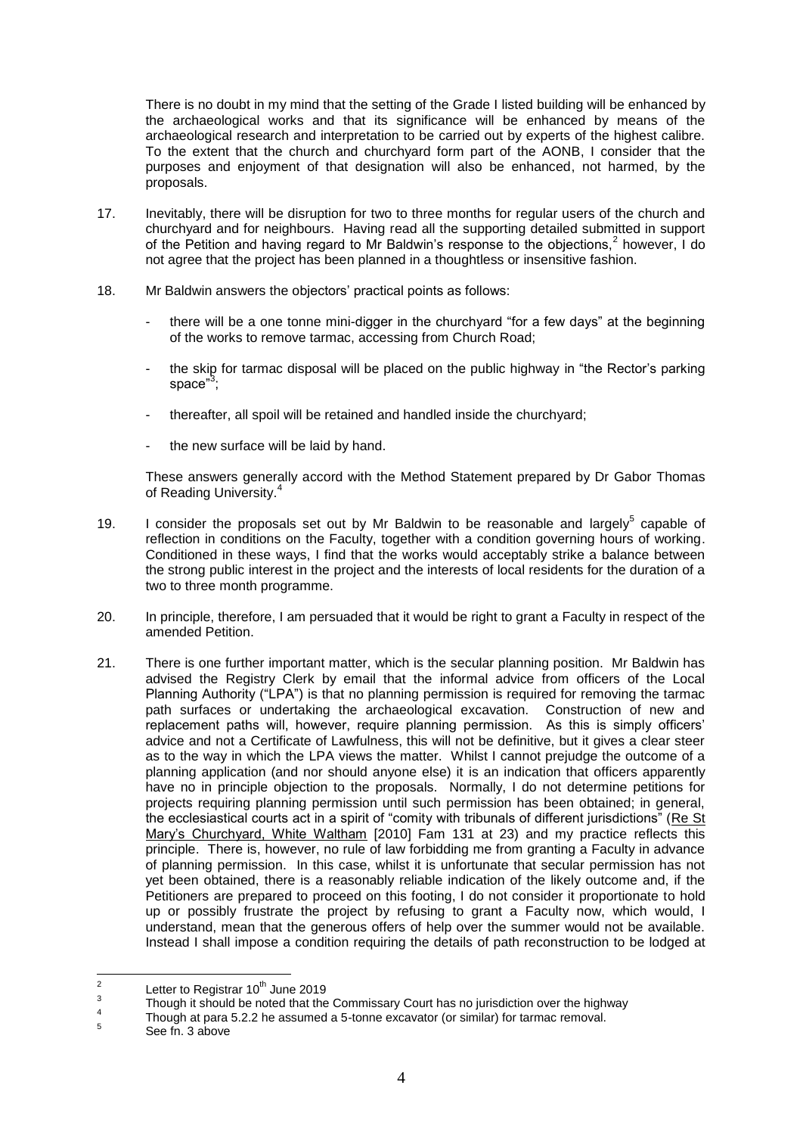There is no doubt in my mind that the setting of the Grade I listed building will be enhanced by the archaeological works and that its significance will be enhanced by means of the archaeological research and interpretation to be carried out by experts of the highest calibre. To the extent that the church and churchyard form part of the AONB, I consider that the purposes and enjoyment of that designation will also be enhanced, not harmed, by the proposals.

- 17. Inevitably, there will be disruption for two to three months for regular users of the church and churchyard and for neighbours. Having read all the supporting detailed submitted in support of the Petition and having regard to Mr Baldwin's response to the objections,<sup>2</sup> however, I do not agree that the project has been planned in a thoughtless or insensitive fashion.
- 18. Mr Baldwin answers the objectors' practical points as follows:
	- there will be a one tonne mini-digger in the churchyard "for a few days" at the beginning of the works to remove tarmac, accessing from Church Road;
	- the skip for tarmac disposal will be placed on the public highway in "the Rector's parking space"<sup>3</sup>;
	- thereafter, all spoil will be retained and handled inside the churchyard;
	- the new surface will be laid by hand.

These answers generally accord with the Method Statement prepared by Dr Gabor Thomas of Reading University.<sup>4</sup>

- 19. I consider the proposals set out by Mr Baldwin to be reasonable and largely $5$  capable of reflection in conditions on the Faculty, together with a condition governing hours of working. Conditioned in these ways, I find that the works would acceptably strike a balance between the strong public interest in the project and the interests of local residents for the duration of a two to three month programme.
- 20. In principle, therefore, I am persuaded that it would be right to grant a Faculty in respect of the amended Petition.
- 21. There is one further important matter, which is the secular planning position. Mr Baldwin has advised the Registry Clerk by email that the informal advice from officers of the Local Planning Authority ("LPA") is that no planning permission is required for removing the tarmac path surfaces or undertaking the archaeological excavation. Construction of new and replacement paths will, however, require planning permission. As this is simply officers' advice and not a Certificate of Lawfulness, this will not be definitive, but it gives a clear steer as to the way in which the LPA views the matter. Whilst I cannot prejudge the outcome of a planning application (and nor should anyone else) it is an indication that officers apparently have no in principle objection to the proposals. Normally, I do not determine petitions for projects requiring planning permission until such permission has been obtained; in general, the ecclesiastical courts act in a spirit of "comity with tribunals of different jurisdictions" (Re St Mary's Churchyard, White Waltham [2010] Fam 131 at 23) and my practice reflects this principle. There is, however, no rule of law forbidding me from granting a Faculty in advance of planning permission. In this case, whilst it is unfortunate that secular permission has not yet been obtained, there is a reasonably reliable indication of the likely outcome and, if the Petitioners are prepared to proceed on this footing, I do not consider it proportionate to hold up or possibly frustrate the project by refusing to grant a Faculty now, which would, I understand, mean that the generous offers of help over the summer would not be available. Instead I shall impose a condition requiring the details of path reconstruction to be lodged at

 $\frac{1}{2}$ Letter to Registrar  $10^{th}$  June 2019

<sup>3</sup> Though it should be noted that the Commissary Court has no jurisdiction over the highway

<sup>4</sup> Though at para 5.2.2 he assumed a 5-tonne excavator (or similar) for tarmac removal.

<sup>5</sup> See fn. 3 above